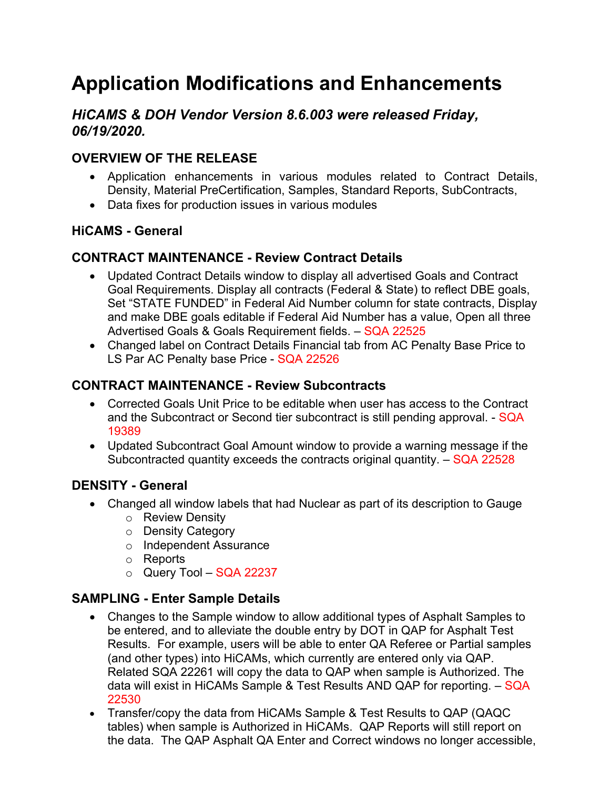# **Application Modifications and Enhancements**

# *HiCAMS & DOH Vendor Version 8.6.003 were released Friday, 06/19/2020.*

# **OVERVIEW OF THE RELEASE**

- Application enhancements in various modules related to Contract Details, Density, Material PreCertification, Samples, Standard Reports, SubContracts,
- Data fixes for production issues in various modules

## **HiCAMS - General**

## **CONTRACT MAINTENANCE - Review Contract Details**

- Updated Contract Details window to display all advertised Goals and Contract Goal Requirements. Display all contracts (Federal & State) to reflect DBE goals, Set "STATE FUNDED" in Federal Aid Number column for state contracts, Display and make DBE goals editable if Federal Aid Number has a value, Open all three Advertised Goals & Goals Requirement fields. – SQA 22525
- Changed label on Contract Details Financial tab from AC Penalty Base Price to LS Par AC Penalty base Price - SQA 22526

# **CONTRACT MAINTENANCE - Review Subcontracts**

- Corrected Goals Unit Price to be editable when user has access to the Contract and the Subcontract or Second tier subcontract is still pending approval. - SQA 19389
- Updated Subcontract Goal Amount window to provide a warning message if the Subcontracted quantity exceeds the contracts original quantity. – SQA 22528

#### **DENSITY - General**

- Changed all window labels that had Nuclear as part of its description to Gauge
	- o Review Density
	- o Density Category
	- o Independent Assurance
	- o Reports
	- $\circ$  Query Tool SQA 22237

# **SAMPLING - Enter Sample Details**

- Changes to the Sample window to allow additional types of Asphalt Samples to be entered, and to alleviate the double entry by DOT in QAP for Asphalt Test Results. For example, users will be able to enter QA Referee or Partial samples (and other types) into HiCAMs, which currently are entered only via QAP. Related SQA 22261 will copy the data to QAP when sample is Authorized. The data will exist in HiCAMs Sample & Test Results AND QAP for reporting. – SQA 22530
- Transfer/copy the data from HiCAMs Sample & Test Results to QAP (QAQC tables) when sample is Authorized in HiCAMs. QAP Reports will still report on the data. The QAP Asphalt QA Enter and Correct windows no longer accessible,